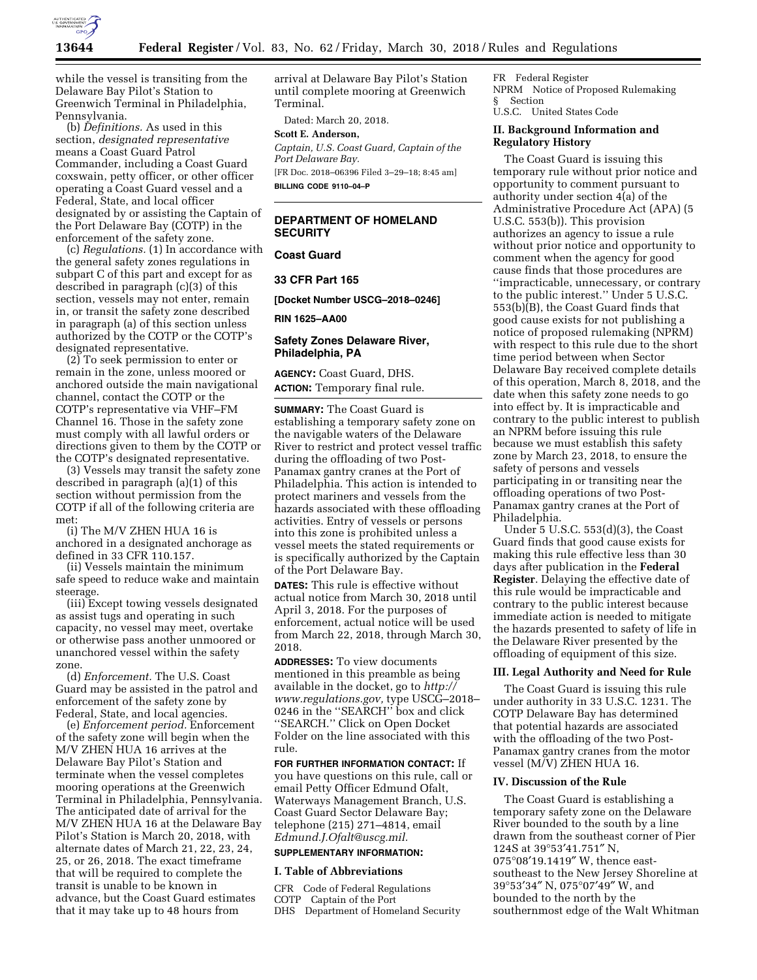

while the vessel is transiting from the Delaware Bay Pilot's Station to Greenwich Terminal in Philadelphia, Pennsylvania.

(b) *Definitions.* As used in this section, *designated representative*  means a Coast Guard Patrol Commander, including a Coast Guard coxswain, petty officer, or other officer operating a Coast Guard vessel and a Federal, State, and local officer designated by or assisting the Captain of the Port Delaware Bay (COTP) in the enforcement of the safety zone.

(c) *Regulations.* (1) In accordance with the general safety zones regulations in subpart C of this part and except for as described in paragraph (c)(3) of this section, vessels may not enter, remain in, or transit the safety zone described in paragraph (a) of this section unless authorized by the COTP or the COTP's designated representative.

(2) To seek permission to enter or remain in the zone, unless moored or anchored outside the main navigational channel, contact the COTP or the COTP's representative via VHF–FM Channel 16. Those in the safety zone must comply with all lawful orders or directions given to them by the COTP or the COTP's designated representative.

(3) Vessels may transit the safety zone described in paragraph (a)(1) of this section without permission from the COTP if all of the following criteria are met:

(i) The M/V ZHEN HUA 16 is anchored in a designated anchorage as defined in 33 CFR 110.157.

(ii) Vessels maintain the minimum safe speed to reduce wake and maintain steerage.

(iii) Except towing vessels designated as assist tugs and operating in such capacity, no vessel may meet, overtake or otherwise pass another unmoored or unanchored vessel within the safety zone.

(d) *Enforcement.* The U.S. Coast Guard may be assisted in the patrol and enforcement of the safety zone by Federal, State, and local agencies.

(e) *Enforcement period.* Enforcement of the safety zone will begin when the M/V ZHEN HUA 16 arrives at the Delaware Bay Pilot's Station and terminate when the vessel completes mooring operations at the Greenwich Terminal in Philadelphia, Pennsylvania. The anticipated date of arrival for the M/V ZHEN HUA 16 at the Delaware Bay Pilot's Station is March 20, 2018, with alternate dates of March 21, 22, 23, 24, 25, or 26, 2018. The exact timeframe that will be required to complete the transit is unable to be known in advance, but the Coast Guard estimates that it may take up to 48 hours from

arrival at Delaware Bay Pilot's Station until complete mooring at Greenwich Terminal.

Dated: March 20, 2018.

# **Scott E. Anderson,**

*Captain, U.S. Coast Guard, Captain of the Port Delaware Bay.* 

[FR Doc. 2018–06396 Filed 3–29–18; 8:45 am] **BILLING CODE 9110–04–P** 

# **DEPARTMENT OF HOMELAND SECURITY**

# **Coast Guard**

**33 CFR Part 165** 

**[Docket Number USCG–2018–0246]** 

**RIN 1625–AA00** 

### **Safety Zones Delaware River, Philadelphia, PA**

**AGENCY:** Coast Guard, DHS. **ACTION:** Temporary final rule.

**SUMMARY:** The Coast Guard is establishing a temporary safety zone on the navigable waters of the Delaware River to restrict and protect vessel traffic during the offloading of two Post-Panamax gantry cranes at the Port of Philadelphia. This action is intended to protect mariners and vessels from the hazards associated with these offloading activities. Entry of vessels or persons into this zone is prohibited unless a vessel meets the stated requirements or is specifically authorized by the Captain of the Port Delaware Bay.

**DATES:** This rule is effective without actual notice from March 30, 2018 until April 3, 2018. For the purposes of enforcement, actual notice will be used from March 22, 2018, through March 30, 2018.

**ADDRESSES:** To view documents mentioned in this preamble as being available in the docket, go to *[http://](http://www.regulations.gov) [www.regulations.gov,](http://www.regulations.gov)* type USCG–2018– 0246 in the ''SEARCH'' box and click ''SEARCH.'' Click on Open Docket Folder on the line associated with this rule.

**FOR FURTHER INFORMATION CONTACT:** If you have questions on this rule, call or email Petty Officer Edmund Ofalt, Waterways Management Branch, U.S. Coast Guard Sector Delaware Bay; telephone (215) 271–4814, email *[Edmund.J.Ofalt@uscg.mil.](mailto:Edmund.J.Ofalt@uscg.mil)* 

# **SUPPLEMENTARY INFORMATION:**

## **I. Table of Abbreviations**

CFR Code of Federal Regulations COTP Captain of the Port DHS Department of Homeland Security

FR Federal Register NPRM Notice of Proposed Rulemaking § Section U.S.C. United States Code

# **II. Background Information and Regulatory History**

The Coast Guard is issuing this temporary rule without prior notice and opportunity to comment pursuant to authority under section 4(a) of the Administrative Procedure Act (APA) (5 U.S.C. 553(b)). This provision authorizes an agency to issue a rule without prior notice and opportunity to comment when the agency for good cause finds that those procedures are ''impracticable, unnecessary, or contrary to the public interest.'' Under 5 U.S.C. 553(b)(B), the Coast Guard finds that good cause exists for not publishing a notice of proposed rulemaking (NPRM) with respect to this rule due to the short time period between when Sector Delaware Bay received complete details of this operation, March 8, 2018, and the date when this safety zone needs to go into effect by. It is impracticable and contrary to the public interest to publish an NPRM before issuing this rule because we must establish this safety zone by March 23, 2018, to ensure the safety of persons and vessels participating in or transiting near the offloading operations of two Post-Panamax gantry cranes at the Port of Philadelphia.

Under 5 U.S.C. 553(d)(3), the Coast Guard finds that good cause exists for making this rule effective less than 30 days after publication in the **Federal Register**. Delaying the effective date of this rule would be impracticable and contrary to the public interest because immediate action is needed to mitigate the hazards presented to safety of life in the Delaware River presented by the offloading of equipment of this size.

#### **III. Legal Authority and Need for Rule**

The Coast Guard is issuing this rule under authority in 33 U.S.C. 1231. The COTP Delaware Bay has determined that potential hazards are associated with the offloading of the two Post-Panamax gantry cranes from the motor vessel (M/V) ZHEN HUA 16.

#### **IV. Discussion of the Rule**

The Coast Guard is establishing a temporary safety zone on the Delaware River bounded to the south by a line drawn from the southeast corner of Pier 124S at 39°53′41.751″ N, 075°08′19.1419″ W, thence eastsoutheast to the New Jersey Shoreline at 39°53′34″ N, 075°07′49″ W, and bounded to the north by the southernmost edge of the Walt Whitman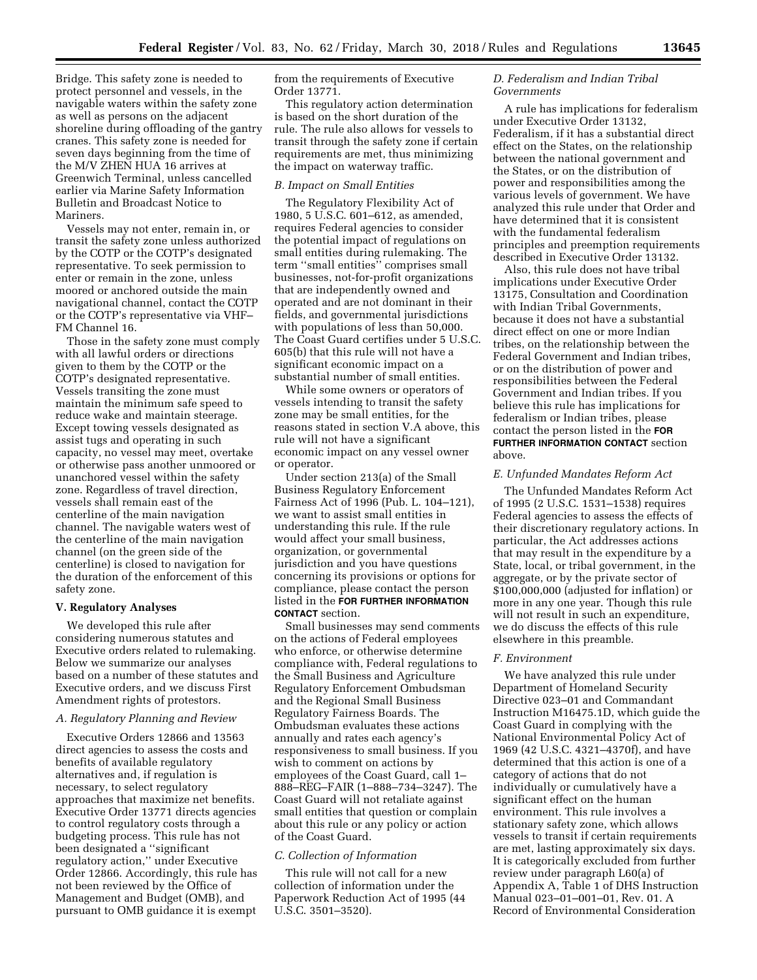Bridge. This safety zone is needed to protect personnel and vessels, in the navigable waters within the safety zone as well as persons on the adjacent shoreline during offloading of the gantry cranes. This safety zone is needed for seven days beginning from the time of the M/V ZHEN HUA 16 arrives at Greenwich Terminal, unless cancelled earlier via Marine Safety Information Bulletin and Broadcast Notice to Mariners.

Vessels may not enter, remain in, or transit the safety zone unless authorized by the COTP or the COTP's designated representative. To seek permission to enter or remain in the zone, unless moored or anchored outside the main navigational channel, contact the COTP or the COTP's representative via VHF– FM Channel 16.

Those in the safety zone must comply with all lawful orders or directions given to them by the COTP or the COTP's designated representative. Vessels transiting the zone must maintain the minimum safe speed to reduce wake and maintain steerage. Except towing vessels designated as assist tugs and operating in such capacity, no vessel may meet, overtake or otherwise pass another unmoored or unanchored vessel within the safety zone. Regardless of travel direction, vessels shall remain east of the centerline of the main navigation channel. The navigable waters west of the centerline of the main navigation channel (on the green side of the centerline) is closed to navigation for the duration of the enforcement of this safety zone.

#### **V. Regulatory Analyses**

We developed this rule after considering numerous statutes and Executive orders related to rulemaking. Below we summarize our analyses based on a number of these statutes and Executive orders, and we discuss First Amendment rights of protestors.

## *A. Regulatory Planning and Review*

Executive Orders 12866 and 13563 direct agencies to assess the costs and benefits of available regulatory alternatives and, if regulation is necessary, to select regulatory approaches that maximize net benefits. Executive Order 13771 directs agencies to control regulatory costs through a budgeting process. This rule has not been designated a ''significant regulatory action,'' under Executive Order 12866. Accordingly, this rule has not been reviewed by the Office of Management and Budget (OMB), and pursuant to OMB guidance it is exempt

from the requirements of Executive Order 13771.

This regulatory action determination is based on the short duration of the rule. The rule also allows for vessels to transit through the safety zone if certain requirements are met, thus minimizing the impact on waterway traffic.

#### *B. Impact on Small Entities*

The Regulatory Flexibility Act of 1980, 5 U.S.C. 601–612, as amended, requires Federal agencies to consider the potential impact of regulations on small entities during rulemaking. The term ''small entities'' comprises small businesses, not-for-profit organizations that are independently owned and operated and are not dominant in their fields, and governmental jurisdictions with populations of less than 50,000. The Coast Guard certifies under 5 U.S.C. 605(b) that this rule will not have a significant economic impact on a substantial number of small entities.

While some owners or operators of vessels intending to transit the safety zone may be small entities, for the reasons stated in section V.A above, this rule will not have a significant economic impact on any vessel owner or operator.

Under section 213(a) of the Small Business Regulatory Enforcement Fairness Act of 1996 (Pub. L. 104–121), we want to assist small entities in understanding this rule. If the rule would affect your small business, organization, or governmental jurisdiction and you have questions concerning its provisions or options for compliance, please contact the person listed in the **FOR FURTHER INFORMATION CONTACT** section.

Small businesses may send comments on the actions of Federal employees who enforce, or otherwise determine compliance with, Federal regulations to the Small Business and Agriculture Regulatory Enforcement Ombudsman and the Regional Small Business Regulatory Fairness Boards. The Ombudsman evaluates these actions annually and rates each agency's responsiveness to small business. If you wish to comment on actions by employees of the Coast Guard, call 1– 888–REG–FAIR (1–888–734–3247). The Coast Guard will not retaliate against small entities that question or complain about this rule or any policy or action of the Coast Guard.

#### *C. Collection of Information*

This rule will not call for a new collection of information under the Paperwork Reduction Act of 1995 (44 U.S.C. 3501–3520).

# *D. Federalism and Indian Tribal Governments*

A rule has implications for federalism under Executive Order 13132, Federalism, if it has a substantial direct effect on the States, on the relationship between the national government and the States, or on the distribution of power and responsibilities among the various levels of government. We have analyzed this rule under that Order and have determined that it is consistent with the fundamental federalism principles and preemption requirements described in Executive Order 13132.

Also, this rule does not have tribal implications under Executive Order 13175, Consultation and Coordination with Indian Tribal Governments, because it does not have a substantial direct effect on one or more Indian tribes, on the relationship between the Federal Government and Indian tribes, or on the distribution of power and responsibilities between the Federal Government and Indian tribes. If you believe this rule has implications for federalism or Indian tribes, please contact the person listed in the **FOR FURTHER INFORMATION CONTACT** section above.

#### *E. Unfunded Mandates Reform Act*

The Unfunded Mandates Reform Act of 1995 (2 U.S.C. 1531–1538) requires Federal agencies to assess the effects of their discretionary regulatory actions. In particular, the Act addresses actions that may result in the expenditure by a State, local, or tribal government, in the aggregate, or by the private sector of \$100,000,000 (adjusted for inflation) or more in any one year. Though this rule will not result in such an expenditure, we do discuss the effects of this rule elsewhere in this preamble.

#### *F. Environment*

We have analyzed this rule under Department of Homeland Security Directive 023–01 and Commandant Instruction M16475.1D, which guide the Coast Guard in complying with the National Environmental Policy Act of 1969 (42 U.S.C. 4321–4370f), and have determined that this action is one of a category of actions that do not individually or cumulatively have a significant effect on the human environment. This rule involves a stationary safety zone, which allows vessels to transit if certain requirements are met, lasting approximately six days. It is categorically excluded from further review under paragraph L60(a) of Appendix A, Table 1 of DHS Instruction Manual 023–01–001–01, Rev. 01. A Record of Environmental Consideration